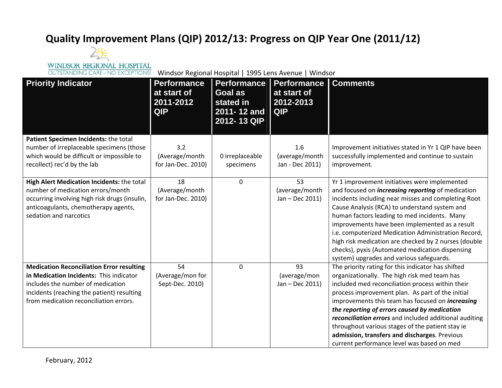## **Quality Improvement Plans (QIP) 2012/13: Progress on QIP Year One (2011/12)**



Windsor Regional Hospital | 1995 Lens Avenue | Windsor

| <b>Priority Indicator</b>                                                                                                                                                                                                | <b>Performance</b><br>at start of<br>2011-2012<br><b>QIP</b> | <b>Performance</b><br>Goal as<br>stated in<br>2011-12 and<br>2012-13 QIP | <b>Performance</b><br>at start of<br>2012-2013<br><b>QIP</b> | <b>Comments</b>                                                                                                                                                                                                                                                                                                                                                                                                                                                                                                                    |
|--------------------------------------------------------------------------------------------------------------------------------------------------------------------------------------------------------------------------|--------------------------------------------------------------|--------------------------------------------------------------------------|--------------------------------------------------------------|------------------------------------------------------------------------------------------------------------------------------------------------------------------------------------------------------------------------------------------------------------------------------------------------------------------------------------------------------------------------------------------------------------------------------------------------------------------------------------------------------------------------------------|
| Patient Specimen Incidents: the total<br>number of irreplaceable specimens (those<br>which would be difficult or impossible to<br>recollect) rec'd by the lab                                                            | 3.2<br>(Average/month<br>for Jan-Dec. 2010)                  | 0 irreplaceable<br>specimens                                             | 1.6<br>(average/month<br>Jan - Dec 2011)                     | Improvement initiatives stated in Yr 1 QIP have been<br>successfully implemented and continue to sustain<br>improvement.                                                                                                                                                                                                                                                                                                                                                                                                           |
| High Alert Medication Incidents: the total<br>number of medication errors/month<br>occurring involving high risk drugs (insulin,<br>anticoagulants, chemotherapy agents,<br>sedation and narcotics                       | 18<br>(Average/month<br>for Jan-Dec. 2010)                   | $\mathbf 0$                                                              | 53<br>(average/month<br>Jan - Dec 2011)                      | Yr 1 improvement initiatives were implemented<br>and focused on <i>increasing reporting</i> of medication<br>incidents including near misses and completing Root<br>Cause Analysis (RCA) to understand system and<br>human factors leading to med incidents. Many<br>improvements have been implemented as a result<br>i.e. computerized Medication Administration Record,<br>high risk medication are checked by 2 nurses (double<br>checks), pyxis (Automated medication dispensing<br>system) upgrades and various safeguards.  |
| <b>Medication Reconciliation Error resulting</b><br>in Medication Incidents: This indicator<br>includes the number of medication<br>incidents (reaching the patient) resulting<br>from medication reconciliation errors. | 54<br>(Average/mon for<br>Sept-Dec. 2010)                    | $\mathbf 0$                                                              | 93<br>(average/mon<br>Jan - Dec 2011)                        | The priority rating for this indicator has shifted<br>organizationally. The high risk med team has<br>included med reconciliation process within their<br>process improvement plan. As part of the initial<br>improvements this team has focused on <i>increasing</i><br>the reporting of errors caused by medication<br>reconciliation errors and included additional auditing<br>throughout various stages of the patient stay ie<br>admission, transfers and discharges. Previous<br>current performance level was based on med |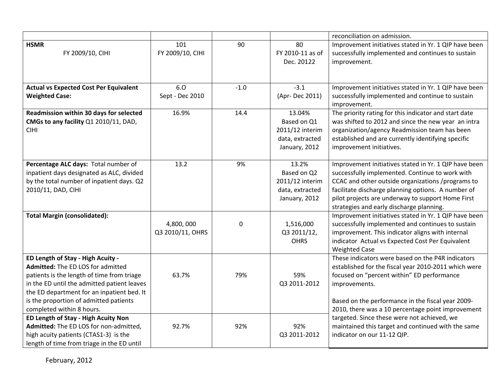|                                                                                                                                                                                                                                                                                          |                               |        |                                                                              | reconciliation on admission.                                                                                                                                                                                                                                                                                         |
|------------------------------------------------------------------------------------------------------------------------------------------------------------------------------------------------------------------------------------------------------------------------------------------|-------------------------------|--------|------------------------------------------------------------------------------|----------------------------------------------------------------------------------------------------------------------------------------------------------------------------------------------------------------------------------------------------------------------------------------------------------------------|
| <b>HSMR</b><br>FY 2009/10, CIHI                                                                                                                                                                                                                                                          | 101<br>FY 2009/10, CIHI       | 90     | 80<br>FY 2010-11 as of<br>Dec. 20122                                         | Improvement initiatives stated in Yr. 1 QIP have been<br>successfully implemented and continues to sustain<br>improvement.                                                                                                                                                                                           |
| <b>Actual vs Expected Cost Per Equivalent</b><br><b>Weighted Case:</b>                                                                                                                                                                                                                   | 6.0<br>Sept - Dec 2010        | $-1.0$ | $-3.1$<br>(Apr-Dec 2011)                                                     | Improvement initiatives stated in Yr. 1 QIP have been<br>successfully implemented and continue to sustain<br>improvement.                                                                                                                                                                                            |
| Readmission within 30 days for selected<br>CMGs to any facility Q1 2010/11, DAD,<br><b>CIHI</b>                                                                                                                                                                                          | 16.9%                         | 14.4   | 13.04%<br>Based on Q1<br>2011/12 interim<br>data, extracted<br>January, 2012 | The priority rating for this indicator and start date<br>was shifted to 2012 and since the new year an intra<br>organization/agency Readmission team has been<br>established and are currently identifying specific<br>improvement initiatives.                                                                      |
| Percentage ALC days: Total number of<br>inpatient days designated as ALC, divided<br>by the total number of inpatient days. Q2<br>2010/11, DAD, CIHI                                                                                                                                     | 13.2                          | 9%     | 13.2%<br>Based on Q2<br>2011/12 interim<br>data, extracted<br>January, 2012  | Improvement initiatives stated in Yr. 1 QIP have been<br>successfully implemented. Continue to work with<br>CCAC and other outside organizations /programs to<br>facilitate discharge planning options. A number of<br>pilot projects are underway to support Home First<br>strategies and early discharge planning. |
| <b>Total Margin (consolidated):</b>                                                                                                                                                                                                                                                      | 4,800,000<br>Q3 2010/11, OHRS | 0      | 1,516,000<br>Q3 2011/12,<br><b>OHRS</b>                                      | Improvement initiatives stated in Yr. 1 QIP have been<br>successfully implemented and continues to sustain<br>improvement. This indicator aligns with internal<br>indicator Actual vs Expected Cost Per Equivalent<br><b>Weighted Case</b>                                                                           |
| ED Length of Stay - High Acuity -<br>Admitted: The ED LOS for admitted<br>patients is the length of time from triage<br>in the ED until the admitted patient leaves<br>the ED department for an inpatient bed. It<br>is the proportion of admitted patients<br>completed within 8 hours. | 63.7%                         | 79%    | 59%<br>Q3 2011-2012                                                          | These indicators were based on the P4R indicators<br>established for the fiscal year 2010-2011 which were<br>focused on "percent within" ED performance<br>improvements.<br>Based on the performance in the fiscal year 2009-<br>2010, there was a 10 percentage point improvement                                   |
| ED Length of Stay - High Acuity Non<br>Admitted: The ED LOS for non-admitted,<br>high acuity patients (CTAS1-3) is the<br>length of time from triage in the ED until                                                                                                                     | 92.7%                         | 92%    | 92%<br>Q3 2011-2012                                                          | targeted. Since these were not achieved, we<br>maintained this target and continued with the same<br>indicator on our 11-12 QIP.                                                                                                                                                                                     |